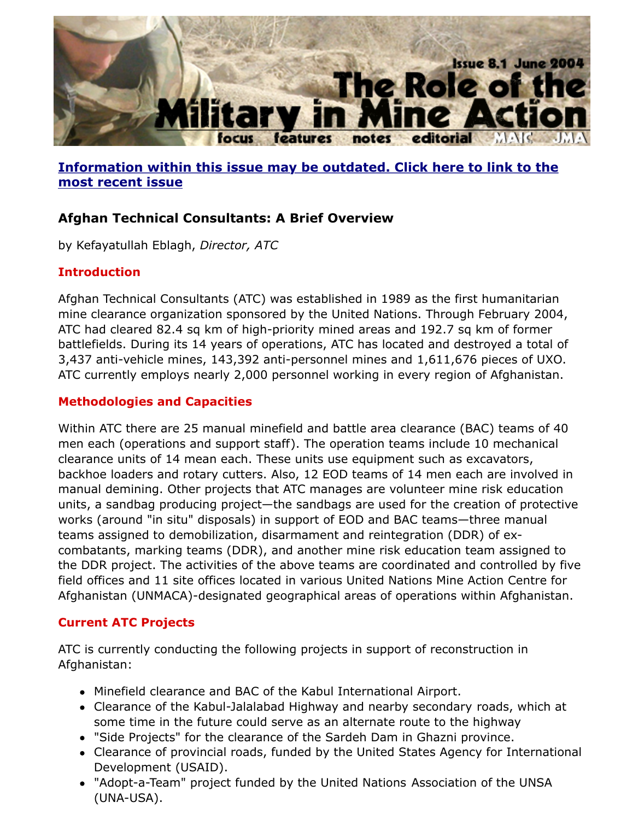

# **Information within this issue may be outdated. Click here to link to the most recent issue**

# **Afghan Technical Consultants: A Brief Overview**

by Kefayatullah Eblagh, *Director, ATC*

### **Introduction**

[Afghan Technical Consultants \(ATC\) was established in 1989 as the first humanitarian](http://www.jmu.edu/cisr/journal/current.shtml) mine clearance organization sponsored by the United Nations. Through February 20 ATC had cleared 82.4 sq km of high-priority mined areas and 192.7 sq km of forme battlefields. During its 14 years of operations, ATC has located and destroyed a total 3,437 anti-vehicle mines, 143,392 anti-personnel mines and  $1,611,676$  pieces of U. ATC currently employs nearly 2,000 personnel working in every region of Afghanist.

#### **Methodologies and Capacities**

Within ATC there are 25 manual minefield and battle area clearance (BAC) teams of men each (operations and support staff). The operation teams include 10 mechanic clearance units of 14 mean each. These units use equipment such as excavators, backhoe loaders and rotary cutters. Also, 12 EOD teams of 14 men each are involve manual demining. Other projects that ATC manages are volunteer mine risk educat units, a sandbag producing project—the sandbags are used for the creation of prote works (around "in situ" disposals) in support of EOD and BAC teams—three manual teams assigned to demobilization, disarmament and reintegration (DDR) of excombatants, marking teams (DDR), and another mine risk education team assigned the DDR project. The activities of the above teams are coordinated and controlled b field offices and 11 site offices located in various United Nations Mine Action Centre Afghanistan (UNMACA)-designated geographical areas of operations within Afghanis

#### **Current ATC Projects**

ATC is currently conducting the following projects in support of reconstruction in Afghanistan:

- Minefield clearance and BAC of the Kabul International Airport.
- Clearance of the Kabul-Jalalabad Highway and nearby secondary roads, which some time in the future could serve as an alternate route to the highway
- "Side Projects" for the clearance of the Sardeh Dam in Ghazni province.
- Clearance of provincial roads, funded by the United States Agency for Interna Development (USAID).
- "Adopt-a-Team" project funded by the United Nations Association of the UNS (UNA-USA).